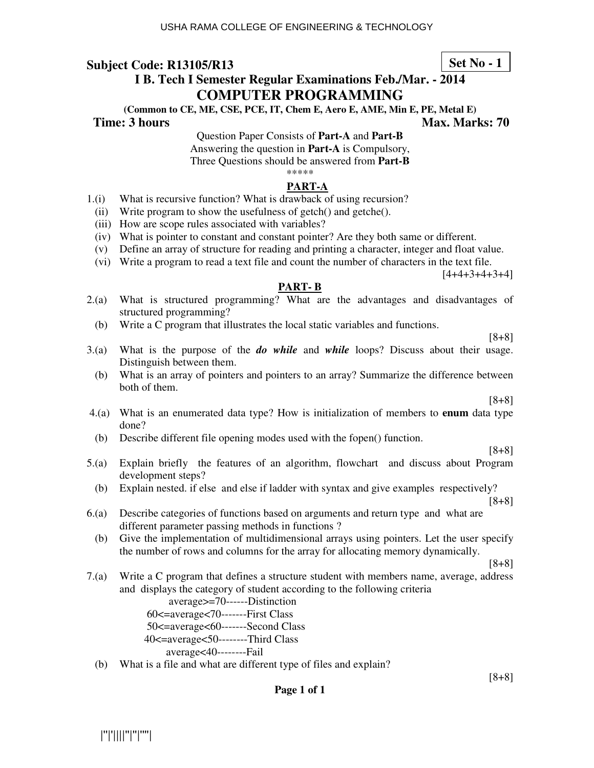**I B. Tech I Semester Regular Examinations Feb./Mar. - 2014 Set No - 1**

# **COMPUTER PROGRAMMING**

**(Common to CE, ME, CSE, PCE, IT, Chem E, Aero E, AME, Min E, PE, Metal E)** 

**Time: 3 hours Max. Marks: 70 Max. Marks: 70** 

Question Paper Consists of **Part-A** and **Part-B** Answering the question in **Part-A** is Compulsory, Three Questions should be answered from **Part-B** \*\*\*\*\*

## **PART-A**

- 1.(i) What is recursive function? What is drawback of using recursion?
- (ii) Write program to show the usefulness of getch() and getche().
- (iii) How are scope rules associated with variables?
- (iv) What is pointer to constant and constant pointer? Are they both same or different.
- (v) Define an array of structure for reading and printing a character, integer and float value.
- (vi) Write a program to read a text file and count the number of characters in the text file.

 $[4+4+3+4+3+4]$ 

## **PART- B**

- 2.(a) What is structured programming? What are the advantages and disadvantages of structured programming?
	- (b) Write a C program that illustrates the local static variables and functions.

[8+8]

- 3.(a) What is the purpose of the *do while* and *while* loops? Discuss about their usage. Distinguish between them.
	- (b) What is an array of pointers and pointers to an array? Summarize the difference between both of them.

[8+8]

- 4.(a) What is an enumerated data type? How is initialization of members to **enum** data type done?
- (b) Describe different file opening modes used with the fopen() function.

[8+8]

- 5.(a) Explain briefly the features of an algorithm, flowchart and discuss about Program development steps?
	- (b) Explain nested. if else and else if ladder with syntax and give examples respectively?

[8+8]

- 6.(a) Describe categories of functions based on arguments and return type and what are different parameter passing methods in functions ?
	- (b) Give the implementation of multidimensional arrays using pointers. Let the user specify the number of rows and columns for the array for allocating memory dynamically.

[8+8]

7.(a) Write a C program that defines a structure student with members name, average, address and displays the category of student according to the following criteria

average>=70------Distinction

- 60<=average<70-------First Class
- 50<=average<60-------Second Class
- 40<=average<50--------Third Class

average<40--------Fail

(b) What is a file and what are different type of files and explain?

## **Page 1 of 1**

|''|'||||''|''|''''|

[8+8]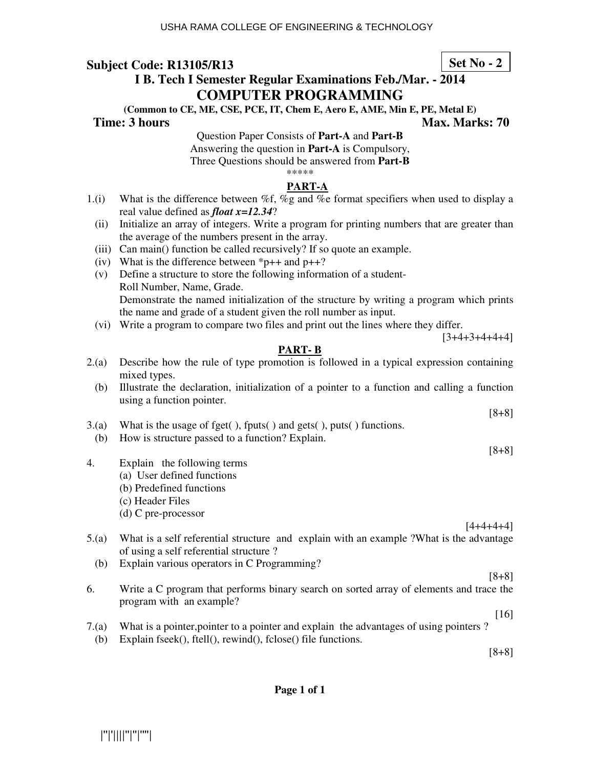**Set No - 2**

# **I B. Tech I Semester Regular Examinations Feb./Mar. - 2014 COMPUTER PROGRAMMING**

**(Common to CE, ME, CSE, PCE, IT, Chem E, Aero E, AME, Min E, PE, Metal E)** 

**Time: 3 hours Max. Marks: 70 Max. Marks: 70** 

Question Paper Consists of **Part-A** and **Part-B** Answering the question in **Part-A** is Compulsory, Three Questions should be answered from **Part-B** \*\*\*\*\*

# **PART-A**

- 1.(i) What is the difference between %f, %g and %e format specifiers when used to display a real value defined as *float x=12.34*?
	- (ii) Initialize an array of integers. Write a program for printing numbers that are greater than the average of the numbers present in the array.
	- (iii) Can main() function be called recursively? If so quote an example.
	- (iv) What is the difference between  $\text{*p++}$  and  $\text{p++}$ ?
	- (v) Define a structure to store the following information of a student- Roll Number, Name, Grade. Demonstrate the named initialization of the structure by writing a program which prints the name and grade of a student given the roll number as input.
	- (vi) Write a program to compare two files and print out the lines where they differ.

## **PART- B**

- 2.(a) Describe how the rule of type promotion is followed in a typical expression containing mixed types.
	- (b) Illustrate the declaration, initialization of a pointer to a function and calling a function using a function pointer.
- 3.(a) What is the usage of fget( ), fputs( ) and gets( ), puts( ) functions.
	- (b) How is structure passed to a function? Explain.
- 4. Explain the following terms
	- (a) User defined functions
	- (b) Predefined functions
	- (c) Header Files
	- (d) C pre-processor

 $[4+4+4+4]$ 

[8+8]

[8+8]

 $[3+4+3+4+4+4]$ 

- 5.(a) What is a self referential structure and explain with an example ?What is the advantage of using a self referential structure ?
	- (b) Explain various operators in C Programming?
- [8+8] 6. Write a C program that performs binary search on sorted array of elements and trace the program with an example?
- 7.(a) What is a pointer,pointer to a pointer and explain the advantages of using pointers ?
	- (b) Explain fseek(), ftell(), rewind(), fclose() file functions.

[8+8]

[16]

**Page 1 of 1**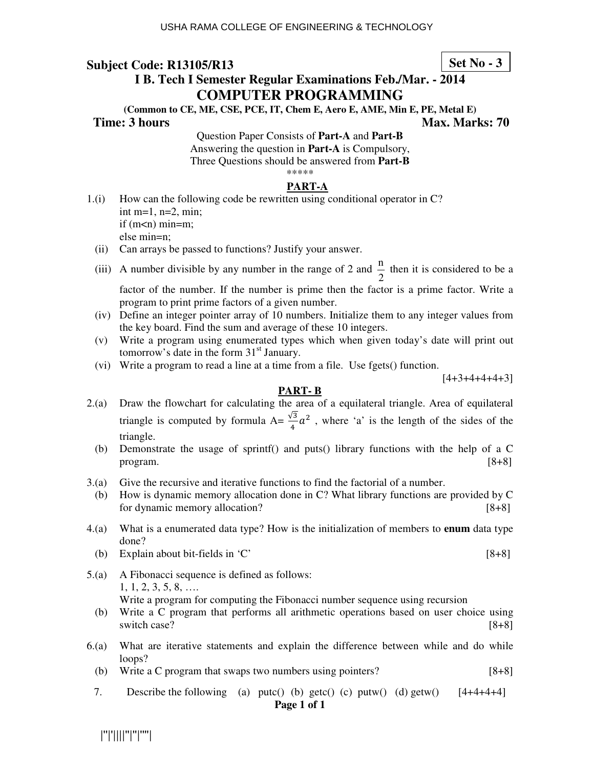**Set No - 3**

# **I B. Tech I Semester Regular Examinations Feb./Mar. - 2014 COMPUTER PROGRAMMING**

**(Common to CE, ME, CSE, PCE, IT, Chem E, Aero E, AME, Min E, PE, Metal E)** 

## **Time: 3 hours Max. Marks: 70 Max. Marks: 70**

Question Paper Consists of **Part-A** and **Part-B** Answering the question in **Part-A** is Compulsory, Three Questions should be answered from **Part-B** \*\*\*\*\*

## **PART-A**

- 1.(i) How can the following code be rewritten using conditional operator in C? int m=1,  $n=2$ , min; if  $(m<sub>m</sub>)$  min=m; else min=n;
	- (ii) Can arrays be passed to functions? Justify your answer.
- (iii) A number divisible by any number in the range of 2 and 2  $\frac{n}{2}$  then it is considered to be a factor of the number. If the number is prime then the factor is a prime factor. Write a program to print prime factors of a given number.
	- (iv) Define an integer pointer array of 10 numbers. Initialize them to any integer values from the key board. Find the sum and average of these 10 integers.
	- (v) Write a program using enumerated types which when given today's date will print out tomorrow's date in the form  $31<sup>st</sup>$  January.
	- (vi) Write a program to read a line at a time from a file. Use fgets() function.

 $[4+3+4+4+4+3]$ 

#### **PART- B**

- 2.(a) Draw the flowchart for calculating the area of a equilateral triangle. Area of equilateral triangle is computed by formula  $A = \frac{\sqrt{3}}{4}a^2$ , where 'a' is the length of the sides of the triangle.
	- (b) Demonstrate the usage of sprintf() and puts() library functions with the help of a C  $\lbrack 8+8\rbrack$
- 3.(a) Give the recursive and iterative functions to find the factorial of a number.
- (b) How is dynamic memory allocation done in C? What library functions are provided by C for dynamic memory allocation? [8+8]
- 4.(a) What is a enumerated data type? How is the initialization of members to **enum** data type done?
	- (b) Explain about bit-fields in  $\mathbb{C}^{\prime}$  [8+8]
- 5.(a) A Fibonacci sequence is defined as follows: 1, 1, 2, 3, 5, 8, …. Write a program for computing the Fibonacci number sequence using recursion
	- (b) Write a C program that performs all arithmetic operations based on user choice using switch case? [8+8]
- 6.(a) What are iterative statements and explain the difference between while and do while loops?
	- (b) Write a C program that swaps two numbers using pointers? [8+8]
	- 7. Describe the following (a) putc() (b) getc() (c) putw() (d) getw()  $[4+4+4+4]$ **Page 1 of 1**

|''|'||||''|''|''''|